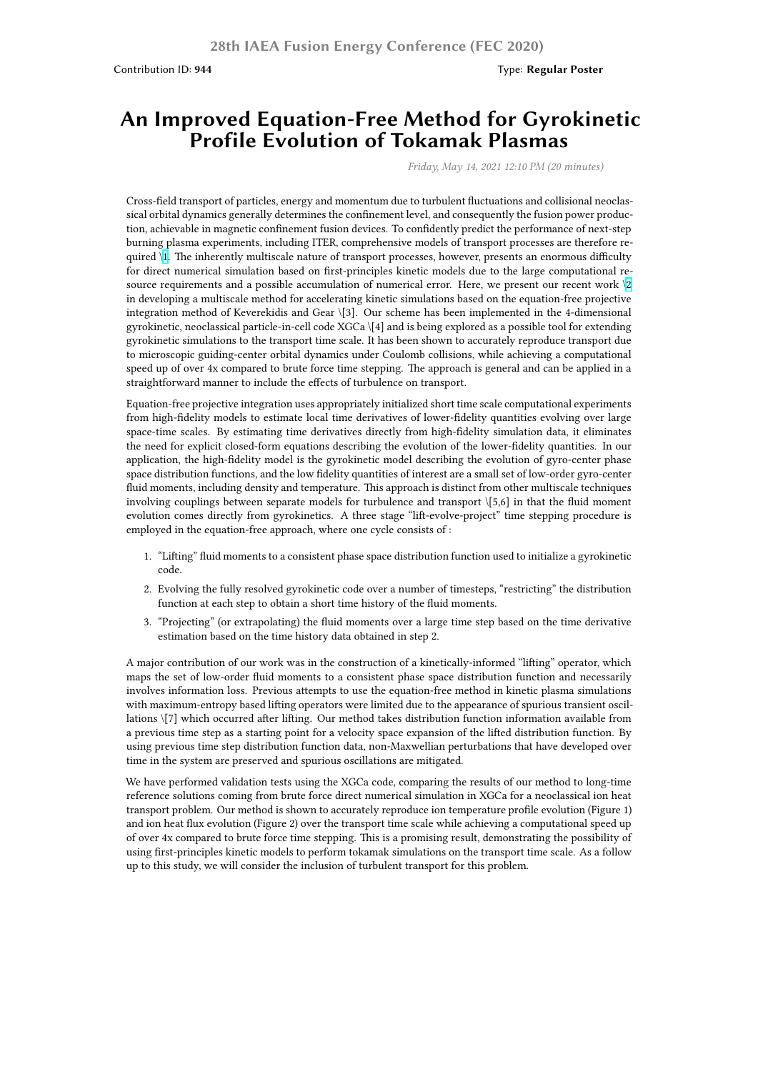## **An Improved Equation-Free Method for Gyrokinetic Profile Evolution of Tokamak Plasmas**

*Friday, May 14, 2021 12:10 PM (20 minutes)*

Cross-field transport of particles, energy and momentum due to turbulent fluctuations and collisional neoclassical orbital dynamics generally determines the confinement level, and consequently the fusion power production, achievable in magnetic confinement fusion devices. To confidently predict the performance of next-step burning plasma experiments, including ITER, comprehensive models of transport processes are therefore required \1. The inherently multiscale nature of transport processes, however, presents an enormous difficulty for direct numerical simulation based on first-principles kinetic models due to the large computational resource requirements and a possible accumulation of numerical error. Here, we present our recent work \2 in developing a multiscale method for accelerating kinetic simulations based on the equation-free projective integration method of Keverekidis and Gear \[3]. Our scheme has been implemented in the 4-dimensional gyroki[ne](https://nucleus.iaea.org/sites/fusionportal/Shared%20Documents/FEC%202020%20Images/944/IAEA_figure_1.png)tic, neoclassical particle-in-cell code XGCa \[4] and is being explored as a possible tool for extending gyrokinetic simulations to the transport time scale. It has been shown to accurately reproduce transport due to microscopic guiding-center orbital dynamics under Coulomb collisions, while achieving a computation[al](https://nucleus.iaea.org/sites/fusionportal/Shared%20Documents/FEC%202020%20Images/944/IAEA_figure_2.png) speed up of over 4x compared to brute force time stepping. The approach is general and can be applied in a straightforward manner to include the effects of turbulence on transport.

Equation-free projective integration uses appropriately initialized short time scale computational experiments from high-fidelity models to estimate local time derivatives of lower-fidelity quantities evolving over large space-time scales. By estimating time derivatives directly from high-fidelity simulation data, it eliminates the need for explicit closed-form equations describing the evolution of the lower-fidelity quantities. In our application, the high-fidelity model is the gyrokinetic model describing the evolution of gyro-center phase space distribution functions, and the low fidelity quantities of interest are a small set of low-order gyro-center fluid moments, including density and temperature. This approach is distinct from other multiscale techniques involving couplings between separate models for turbulence and transport \[5,6] in that the fluid moment evolution comes directly from gyrokinetics. A three stage "lift-evolve-project" time stepping procedure is employed in the equation-free approach, where one cycle consists of :

- 1. "Lifting" fluid moments to a consistent phase space distribution function used to initialize a gyrokinetic code.
- 2. Evolving the fully resolved gyrokinetic code over a number of timesteps, "restricting" the distribution function at each step to obtain a short time history of the fluid moments.
- 3. "Projecting" (or extrapolating) the fluid moments over a large time step based on the time derivative estimation based on the time history data obtained in step 2.

A major contribution of our work was in the construction of a kinetically-informed "lifting" operator, which maps the set of low-order fluid moments to a consistent phase space distribution function and necessarily involves information loss. Previous attempts to use the equation-free method in kinetic plasma simulations with maximum-entropy based lifting operators were limited due to the appearance of spurious transient oscillations \[7] which occurred after lifting. Our method takes distribution function information available from a previous time step as a starting point for a velocity space expansion of the lifted distribution function. By using previous time step distribution function data, non-Maxwellian perturbations that have developed over time in the system are preserved and spurious oscillations are mitigated.

We have performed validation tests using the XGCa code, comparing the results of our method to long-time reference solutions coming from brute force direct numerical simulation in XGCa for a neoclassical ion heat transport problem. Our method is shown to accurately reproduce ion temperature profile evolution (Figure 1) and ion heat flux evolution (Figure 2) over the transport time scale while achieving a computational speed up of over 4x compared to brute force time stepping. This is a promising result, demonstrating the possibility of using first-principles kinetic models to perform tokamak simulations on the transport time scale. As a follow up to this study, we will consider the inclusion of turbulent transport for this problem.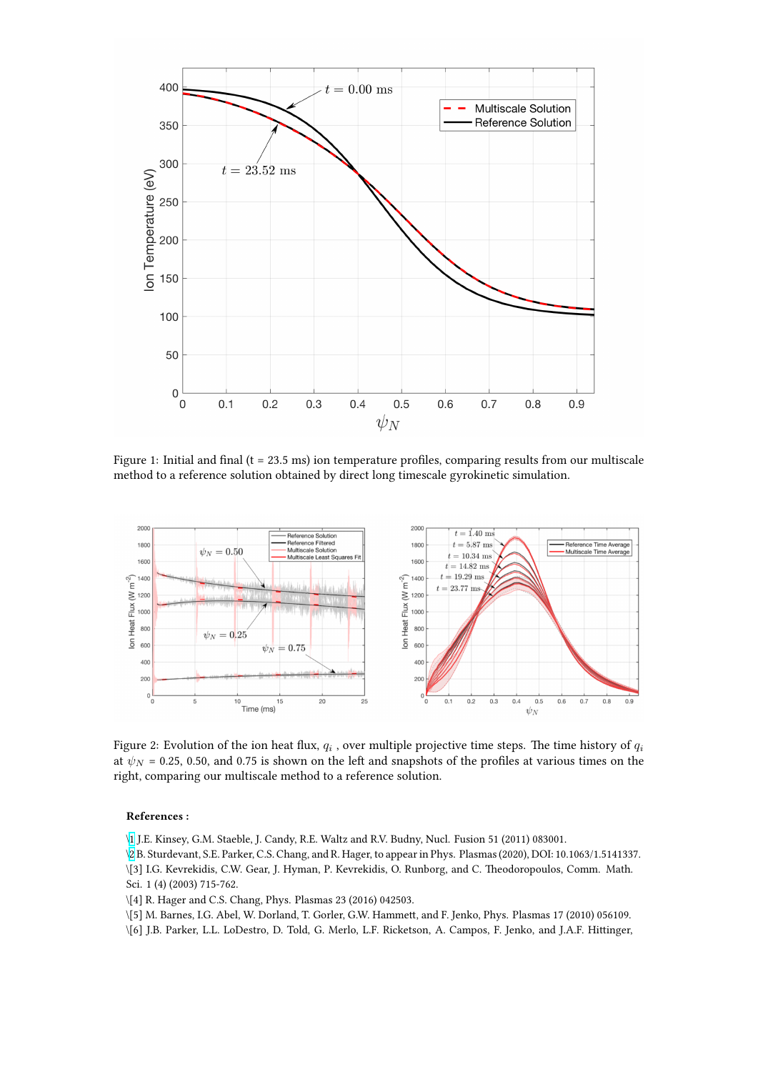

Figure 1: Initial and final ( $t = 23.5$  ms) ion temperature profiles, comparing results from our multiscale method to a reference solution obtained by direct long timescale gyrokinetic simulation.



Figure 2: Evolution of the ion heat flux,  $q_i$  , over multiple projective time steps. The time history of  $q_i$ at  $\psi_N$  = 0.25, 0.50, and 0.75 is shown on the left and snapshots of the profiles at various times on the right, comparing our multiscale method to a reference solution.

## **References :**

\1 J.E. Kinsey, G.M. Staeble, J. Candy, R.E. Waltz and R.V. Budny, Nucl. Fusion 51 (2011) 083001.

\2 B. Sturdevant, S.E. Parker, C.S. Chang, and R. Hager, to appear in Phys. Plasmas (2020), DOI: 10.1063/1.5141337.

- \[3] I.G. Kevrekidis, C.W. Gear, J. Hyman, P. Kevrekidis, O. Runborg, and C. Theodoropoulos, Comm. Math. Sci. 1 (4) (2003) 715-762.
- \[\[4](https://nucleus.iaea.org/sites/fusionportal/Shared%20Documents/FEC%202020%20Images/944/IAEA_figure_1.png)] R. Hager and C.S. Chang, Phys. Plasmas 23 (2016) 042503.
- \[\[5](https://nucleus.iaea.org/sites/fusionportal/Shared%20Documents/FEC%202020%20Images/944/IAEA_figure_2.png)] M. Barnes, I.G. Abel, W. Dorland, T. Gorler, G.W. Hammett, and F. Jenko, Phys. Plasmas 17 (2010) 056109.
- \[6] J.B. Parker, L.L. LoDestro, D. Told, G. Merlo, L.F. Ricketson, A. Campos, F. Jenko, and J.A.F. Hittinger,